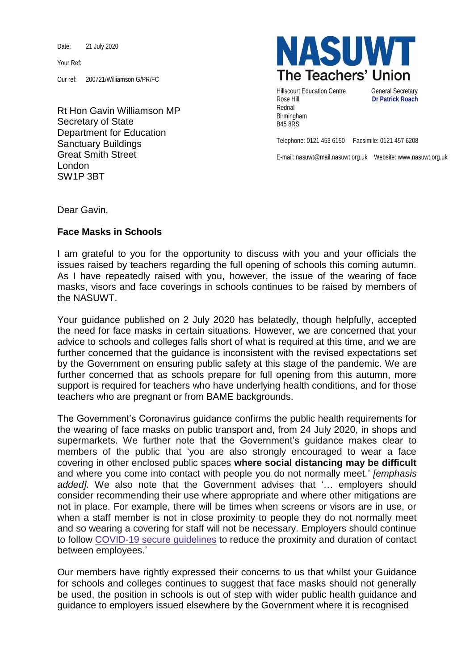Date: 21 July 2020

Your Ref:

Our ref: 200721/Williamson G/PR/FC

Rt Hon Gavin Williamson MP Secretary of State Department for Education Sanctuary Buildings Great Smith Street London SW1P 3BT



Hillscourt Education Centre **General Secretary** Rose Hill **Dr Patrick Roach** Rednal Birmingham B45 8RS

Telephone: 0121 453 6150 Facsimile: 0121 457 6208

E-mail: nasuwt@mail.nasuwt.org.uk Website: www.nasuwt.org.uk

Dear Gavin,

## **Face Masks in Schools**

I am grateful to you for the opportunity to discuss with you and your officials the issues raised by teachers regarding the full opening of schools this coming autumn. As I have repeatedly raised with you, however, the issue of the wearing of face masks, visors and face coverings in schools continues to be raised by members of the NASUWT.

Your guidance published on 2 July 2020 has belatedly, though helpfully, accepted the need for face masks in certain situations. However, we are concerned that your advice to schools and colleges falls short of what is required at this time, and we are further concerned that the guidance is inconsistent with the revised expectations set by the Government on ensuring public safety at this stage of the pandemic. We are further concerned that as schools prepare for full opening from this autumn, more support is required for teachers who have underlying health conditions, and for those teachers who are pregnant or from BAME backgrounds.

The Government's Coronavirus guidance confirms the public health requirements for the wearing of face masks on public transport and, from 24 July 2020, in shops and supermarkets. We further note that the Government's guidance makes clear to members of the public that 'you are also strongly encouraged to wear a face covering in other enclosed public spaces **where social distancing may be difficult** and where you come into contact with people you do not normally meet.' *[emphasis added].* We also note that the Government advises that '… employers should consider recommending their use where appropriate and where other mitigations are not in place. For example, there will be times when screens or visors are in use, or when a staff member is not in close proximity to people they do not normally meet and so wearing a covering for staff will not be necessary. Employers should continue to follow [COVID-19](https://www.gov.uk/guidance/working-safely-during-coronavirus-covid-19) secure guidelines to reduce the proximity and duration of contact between employees.'

Our members have rightly expressed their concerns to us that whilst your Guidance for schools and colleges continues to suggest that face masks should not generally be used, the position in schools is out of step with wider public health guidance and guidance to employers issued elsewhere by the Government where it is recognised